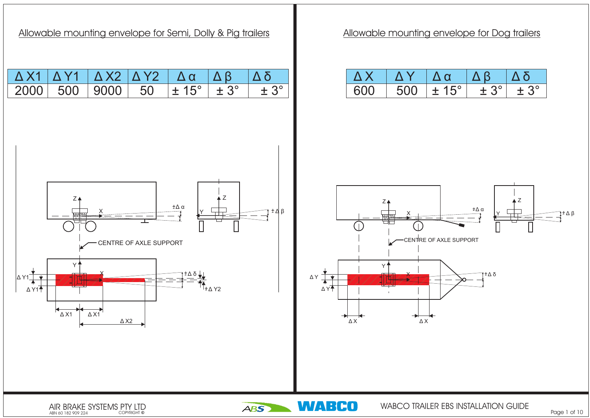

AIR BRAKE SYSTEMS PTY LTD ABN 60 182 909 224 COPYRIGHT ©

WABCO TRAILER EBS INSTALLATION GUIDE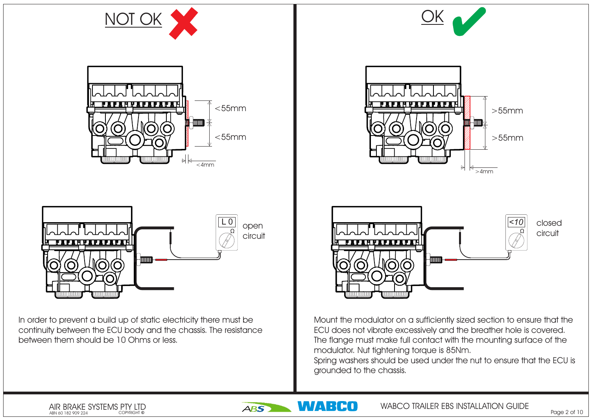

In order to prevent a build up of static electricity there must be continuity between the ECU body and the chassis. The resistance between them should be 10 Ohms or less.



Mount the modulator on a sufficiently sized section to ensure that the ECU does not vibrate excessively and the breather hole is covered. The flange must make full contact with the mounting surface of the modulator. Nut tightening torque is 85Nm.

Spring washers should be used under the nut to ensure that the ECU is grounded to the chassis.





WAR

HI.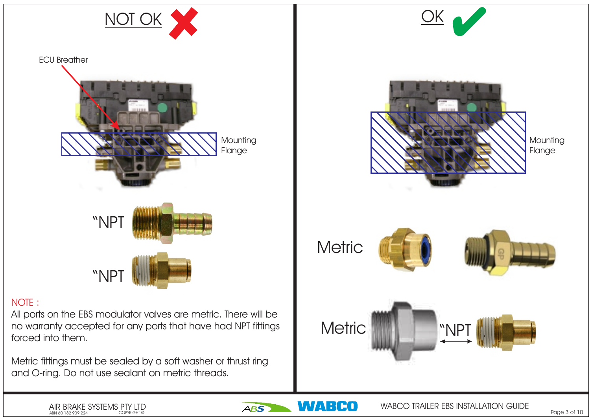

AIR BRAKE SYSTEMS PTY LTD ABN 60 182 909 224 COPYRIGHT ©



WABCO TRAILER EBS INSTALLATION GUIDE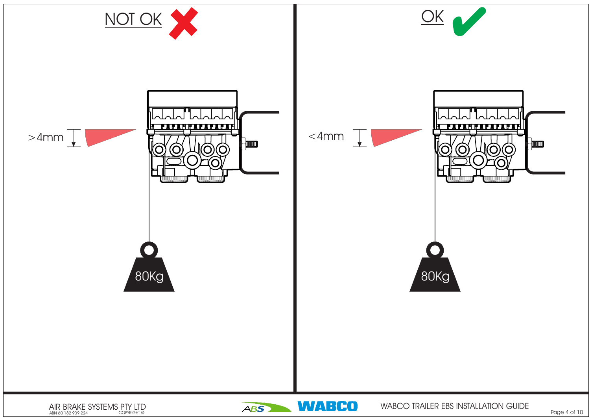

Page 4 of 10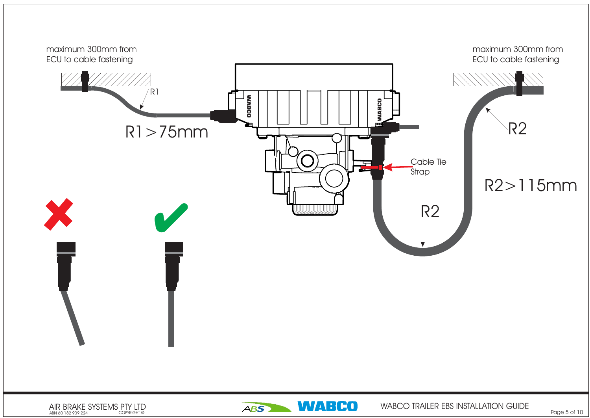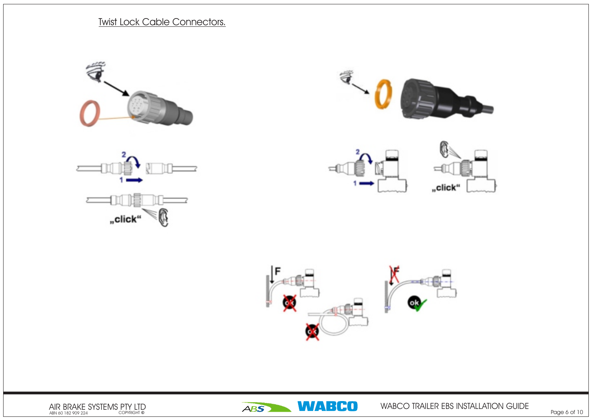## Twist Lock Cable Connectors.















WABCO TRAILER EBS INSTALLATION GUIDE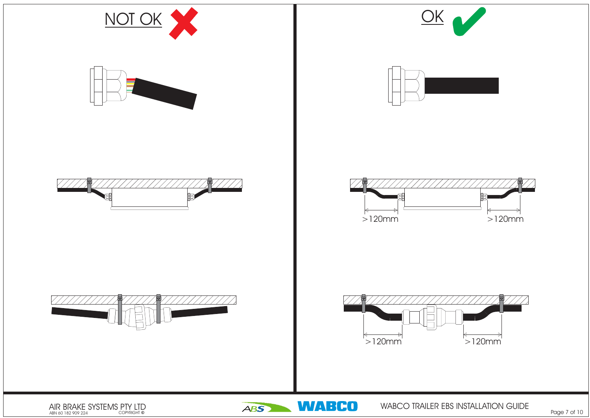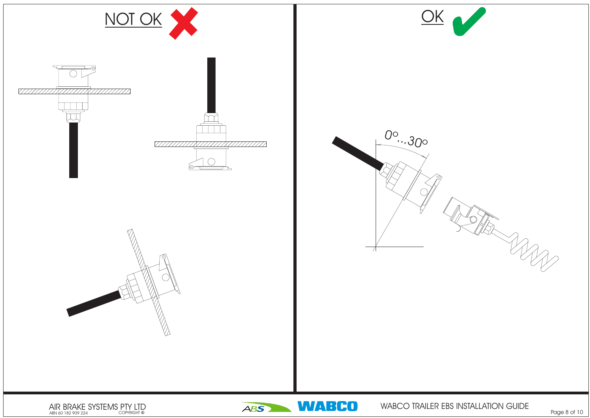

Page 8 of 10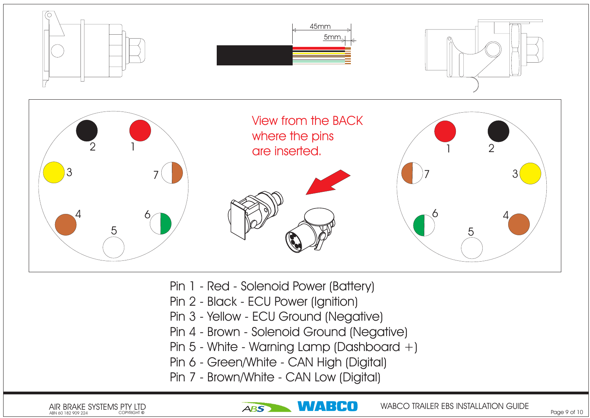

- Pin 1 Red Solenoid Power (Battery)
- Pin 2 Black ECU Power (Ignition)
- Pin 3 Yellow ECU Ground (Negative)
- Pin 4 Brown Solenoid Ground (Negative)
- Pin 5 White Warning Lamp (Dashboard +)
- Pin 6 Green/White CAN High (Digital)
- Pin 7 Brown/White CAN Low (Digital)

AIR BRAKE SYSTEMS PTY LTD ABN 60 182 909 224